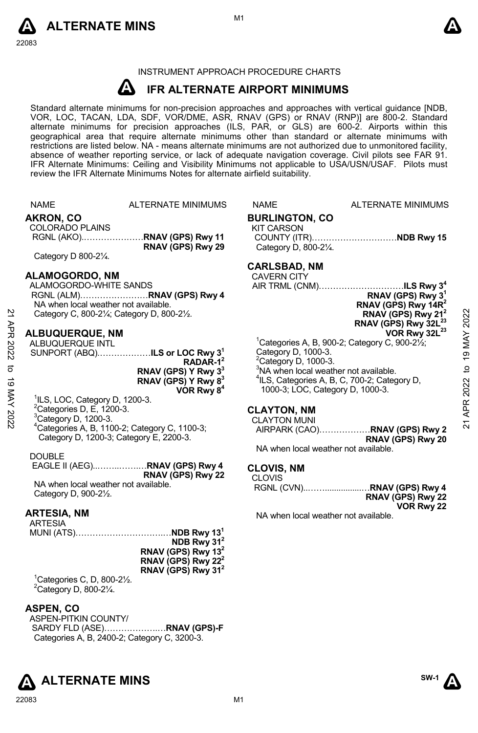



# INSTRUMENT APPROACH PROCEDURE CHARTS

#### **A IFR ALTERNATE AIRPORT MINIMUMS**

Standard alternate minimums for non-precision approaches and approaches with vertical guidance [NDB,<br>VOR, LOC, TACAN, LDA, SDF, VOR/DME, ASR, RNAV (GPS) or RNAV (RNP)] are 800-2. Standard<br>alternate minimums for precision a geographical area that require alternate minimums other than standard or alternate minimums with restrictions are listed below. NA - means alternate minimums are not authorized due to unmonitored facility, absence of weather reporting service, or lack of adequate navigation coverage. Civil pilots see FAR 91. IFR Alternate Minimums: Ceiling and Visibility Minimums not applicable to USA/USN/USAF. Pilots must review the IFR Alternate Minimums Notes for alternate airfield suitability.

| <b>NAME</b>                                | <b>ALTERNATE MINIMUMS</b>                                                                                                                                         | <b>NAME</b>                                                                                                                                                                                                                                                                                                                                                                                                                                                                                                                                                                                                                                                                                                                                                                                       | <b>ALTERNATE MINIMUMS</b>                                                                                                          |                                                                                                                                                                                                                                                                                                                                                                                                                                                                                                                                                                                                                                                                                                                                                          |
|--------------------------------------------|-------------------------------------------------------------------------------------------------------------------------------------------------------------------|---------------------------------------------------------------------------------------------------------------------------------------------------------------------------------------------------------------------------------------------------------------------------------------------------------------------------------------------------------------------------------------------------------------------------------------------------------------------------------------------------------------------------------------------------------------------------------------------------------------------------------------------------------------------------------------------------------------------------------------------------------------------------------------------------|------------------------------------------------------------------------------------------------------------------------------------|----------------------------------------------------------------------------------------------------------------------------------------------------------------------------------------------------------------------------------------------------------------------------------------------------------------------------------------------------------------------------------------------------------------------------------------------------------------------------------------------------------------------------------------------------------------------------------------------------------------------------------------------------------------------------------------------------------------------------------------------------------|
| AKRON, CO<br><b>COLORADO PLAINS</b>        |                                                                                                                                                                   | <b>KIT CARSON</b>                                                                                                                                                                                                                                                                                                                                                                                                                                                                                                                                                                                                                                                                                                                                                                                 |                                                                                                                                    |                                                                                                                                                                                                                                                                                                                                                                                                                                                                                                                                                                                                                                                                                                                                                          |
|                                            | RNAV (GPS) Rwy 29                                                                                                                                                 |                                                                                                                                                                                                                                                                                                                                                                                                                                                                                                                                                                                                                                                                                                                                                                                                   |                                                                                                                                    |                                                                                                                                                                                                                                                                                                                                                                                                                                                                                                                                                                                                                                                                                                                                                          |
|                                            |                                                                                                                                                                   |                                                                                                                                                                                                                                                                                                                                                                                                                                                                                                                                                                                                                                                                                                                                                                                                   |                                                                                                                                    |                                                                                                                                                                                                                                                                                                                                                                                                                                                                                                                                                                                                                                                                                                                                                          |
|                                            |                                                                                                                                                                   |                                                                                                                                                                                                                                                                                                                                                                                                                                                                                                                                                                                                                                                                                                                                                                                                   |                                                                                                                                    |                                                                                                                                                                                                                                                                                                                                                                                                                                                                                                                                                                                                                                                                                                                                                          |
|                                            |                                                                                                                                                                   |                                                                                                                                                                                                                                                                                                                                                                                                                                                                                                                                                                                                                                                                                                                                                                                                   |                                                                                                                                    |                                                                                                                                                                                                                                                                                                                                                                                                                                                                                                                                                                                                                                                                                                                                                          |
|                                            |                                                                                                                                                                   |                                                                                                                                                                                                                                                                                                                                                                                                                                                                                                                                                                                                                                                                                                                                                                                                   |                                                                                                                                    |                                                                                                                                                                                                                                                                                                                                                                                                                                                                                                                                                                                                                                                                                                                                                          |
|                                            |                                                                                                                                                                   |                                                                                                                                                                                                                                                                                                                                                                                                                                                                                                                                                                                                                                                                                                                                                                                                   |                                                                                                                                    |                                                                                                                                                                                                                                                                                                                                                                                                                                                                                                                                                                                                                                                                                                                                                          |
|                                            |                                                                                                                                                                   |                                                                                                                                                                                                                                                                                                                                                                                                                                                                                                                                                                                                                                                                                                                                                                                                   |                                                                                                                                    | 2022                                                                                                                                                                                                                                                                                                                                                                                                                                                                                                                                                                                                                                                                                                                                                     |
|                                            |                                                                                                                                                                   |                                                                                                                                                                                                                                                                                                                                                                                                                                                                                                                                                                                                                                                                                                                                                                                                   |                                                                                                                                    |                                                                                                                                                                                                                                                                                                                                                                                                                                                                                                                                                                                                                                                                                                                                                          |
|                                            |                                                                                                                                                                   |                                                                                                                                                                                                                                                                                                                                                                                                                                                                                                                                                                                                                                                                                                                                                                                                   |                                                                                                                                    | <b>19 MAY</b>                                                                                                                                                                                                                                                                                                                                                                                                                                                                                                                                                                                                                                                                                                                                            |
|                                            |                                                                                                                                                                   |                                                                                                                                                                                                                                                                                                                                                                                                                                                                                                                                                                                                                                                                                                                                                                                                   |                                                                                                                                    |                                                                                                                                                                                                                                                                                                                                                                                                                                                                                                                                                                                                                                                                                                                                                          |
|                                            |                                                                                                                                                                   |                                                                                                                                                                                                                                                                                                                                                                                                                                                                                                                                                                                                                                                                                                                                                                                                   |                                                                                                                                    |                                                                                                                                                                                                                                                                                                                                                                                                                                                                                                                                                                                                                                                                                                                                                          |
|                                            |                                                                                                                                                                   |                                                                                                                                                                                                                                                                                                                                                                                                                                                                                                                                                                                                                                                                                                                                                                                                   |                                                                                                                                    | $\mathbf{c}$                                                                                                                                                                                                                                                                                                                                                                                                                                                                                                                                                                                                                                                                                                                                             |
|                                            | RNAV (GPS) Y Rwy 8 <sup>3</sup>                                                                                                                                   |                                                                                                                                                                                                                                                                                                                                                                                                                                                                                                                                                                                                                                                                                                                                                                                                   |                                                                                                                                    |                                                                                                                                                                                                                                                                                                                                                                                                                                                                                                                                                                                                                                                                                                                                                          |
|                                            |                                                                                                                                                                   |                                                                                                                                                                                                                                                                                                                                                                                                                                                                                                                                                                                                                                                                                                                                                                                                   |                                                                                                                                    | 2022                                                                                                                                                                                                                                                                                                                                                                                                                                                                                                                                                                                                                                                                                                                                                     |
|                                            |                                                                                                                                                                   |                                                                                                                                                                                                                                                                                                                                                                                                                                                                                                                                                                                                                                                                                                                                                                                                   |                                                                                                                                    |                                                                                                                                                                                                                                                                                                                                                                                                                                                                                                                                                                                                                                                                                                                                                          |
|                                            |                                                                                                                                                                   |                                                                                                                                                                                                                                                                                                                                                                                                                                                                                                                                                                                                                                                                                                                                                                                                   |                                                                                                                                    | APR.                                                                                                                                                                                                                                                                                                                                                                                                                                                                                                                                                                                                                                                                                                                                                     |
|                                            |                                                                                                                                                                   |                                                                                                                                                                                                                                                                                                                                                                                                                                                                                                                                                                                                                                                                                                                                                                                                   |                                                                                                                                    | $\overline{2}$                                                                                                                                                                                                                                                                                                                                                                                                                                                                                                                                                                                                                                                                                                                                           |
|                                            |                                                                                                                                                                   |                                                                                                                                                                                                                                                                                                                                                                                                                                                                                                                                                                                                                                                                                                                                                                                                   |                                                                                                                                    |                                                                                                                                                                                                                                                                                                                                                                                                                                                                                                                                                                                                                                                                                                                                                          |
|                                            |                                                                                                                                                                   |                                                                                                                                                                                                                                                                                                                                                                                                                                                                                                                                                                                                                                                                                                                                                                                                   |                                                                                                                                    |                                                                                                                                                                                                                                                                                                                                                                                                                                                                                                                                                                                                                                                                                                                                                          |
| <b>DOUBLE</b>                              |                                                                                                                                                                   |                                                                                                                                                                                                                                                                                                                                                                                                                                                                                                                                                                                                                                                                                                                                                                                                   |                                                                                                                                    |                                                                                                                                                                                                                                                                                                                                                                                                                                                                                                                                                                                                                                                                                                                                                          |
|                                            |                                                                                                                                                                   |                                                                                                                                                                                                                                                                                                                                                                                                                                                                                                                                                                                                                                                                                                                                                                                                   |                                                                                                                                    |                                                                                                                                                                                                                                                                                                                                                                                                                                                                                                                                                                                                                                                                                                                                                          |
|                                            |                                                                                                                                                                   | <b>CLOVIS</b>                                                                                                                                                                                                                                                                                                                                                                                                                                                                                                                                                                                                                                                                                                                                                                                     |                                                                                                                                    |                                                                                                                                                                                                                                                                                                                                                                                                                                                                                                                                                                                                                                                                                                                                                          |
|                                            |                                                                                                                                                                   |                                                                                                                                                                                                                                                                                                                                                                                                                                                                                                                                                                                                                                                                                                                                                                                                   |                                                                                                                                    |                                                                                                                                                                                                                                                                                                                                                                                                                                                                                                                                                                                                                                                                                                                                                          |
|                                            |                                                                                                                                                                   |                                                                                                                                                                                                                                                                                                                                                                                                                                                                                                                                                                                                                                                                                                                                                                                                   |                                                                                                                                    |                                                                                                                                                                                                                                                                                                                                                                                                                                                                                                                                                                                                                                                                                                                                                          |
|                                            |                                                                                                                                                                   |                                                                                                                                                                                                                                                                                                                                                                                                                                                                                                                                                                                                                                                                                                                                                                                                   |                                                                                                                                    |                                                                                                                                                                                                                                                                                                                                                                                                                                                                                                                                                                                                                                                                                                                                                          |
|                                            |                                                                                                                                                                   |                                                                                                                                                                                                                                                                                                                                                                                                                                                                                                                                                                                                                                                                                                                                                                                                   |                                                                                                                                    |                                                                                                                                                                                                                                                                                                                                                                                                                                                                                                                                                                                                                                                                                                                                                          |
|                                            |                                                                                                                                                                   |                                                                                                                                                                                                                                                                                                                                                                                                                                                                                                                                                                                                                                                                                                                                                                                                   |                                                                                                                                    |                                                                                                                                                                                                                                                                                                                                                                                                                                                                                                                                                                                                                                                                                                                                                          |
|                                            | NDB Rwy 31 <sup>2</sup>                                                                                                                                           |                                                                                                                                                                                                                                                                                                                                                                                                                                                                                                                                                                                                                                                                                                                                                                                                   |                                                                                                                                    |                                                                                                                                                                                                                                                                                                                                                                                                                                                                                                                                                                                                                                                                                                                                                          |
|                                            |                                                                                                                                                                   |                                                                                                                                                                                                                                                                                                                                                                                                                                                                                                                                                                                                                                                                                                                                                                                                   |                                                                                                                                    |                                                                                                                                                                                                                                                                                                                                                                                                                                                                                                                                                                                                                                                                                                                                                          |
|                                            |                                                                                                                                                                   |                                                                                                                                                                                                                                                                                                                                                                                                                                                                                                                                                                                                                                                                                                                                                                                                   |                                                                                                                                    |                                                                                                                                                                                                                                                                                                                                                                                                                                                                                                                                                                                                                                                                                                                                                          |
|                                            |                                                                                                                                                                   |                                                                                                                                                                                                                                                                                                                                                                                                                                                                                                                                                                                                                                                                                                                                                                                                   |                                                                                                                                    |                                                                                                                                                                                                                                                                                                                                                                                                                                                                                                                                                                                                                                                                                                                                                          |
| ${}^{2}$ Category D, 800-2 $\frac{1}{4}$ . |                                                                                                                                                                   |                                                                                                                                                                                                                                                                                                                                                                                                                                                                                                                                                                                                                                                                                                                                                                                                   |                                                                                                                                    |                                                                                                                                                                                                                                                                                                                                                                                                                                                                                                                                                                                                                                                                                                                                                          |
|                                            |                                                                                                                                                                   |                                                                                                                                                                                                                                                                                                                                                                                                                                                                                                                                                                                                                                                                                                                                                                                                   |                                                                                                                                    |                                                                                                                                                                                                                                                                                                                                                                                                                                                                                                                                                                                                                                                                                                                                                          |
|                                            |                                                                                                                                                                   |                                                                                                                                                                                                                                                                                                                                                                                                                                                                                                                                                                                                                                                                                                                                                                                                   |                                                                                                                                    |                                                                                                                                                                                                                                                                                                                                                                                                                                                                                                                                                                                                                                                                                                                                                          |
|                                            |                                                                                                                                                                   |                                                                                                                                                                                                                                                                                                                                                                                                                                                                                                                                                                                                                                                                                                                                                                                                   |                                                                                                                                    |                                                                                                                                                                                                                                                                                                                                                                                                                                                                                                                                                                                                                                                                                                                                                          |
|                                            |                                                                                                                                                                   |                                                                                                                                                                                                                                                                                                                                                                                                                                                                                                                                                                                                                                                                                                                                                                                                   |                                                                                                                                    |                                                                                                                                                                                                                                                                                                                                                                                                                                                                                                                                                                                                                                                                                                                                                          |
|                                            |                                                                                                                                                                   |                                                                                                                                                                                                                                                                                                                                                                                                                                                                                                                                                                                                                                                                                                                                                                                                   |                                                                                                                                    |                                                                                                                                                                                                                                                                                                                                                                                                                                                                                                                                                                                                                                                                                                                                                          |
|                                            |                                                                                                                                                                   |                                                                                                                                                                                                                                                                                                                                                                                                                                                                                                                                                                                                                                                                                                                                                                                                   |                                                                                                                                    |                                                                                                                                                                                                                                                                                                                                                                                                                                                                                                                                                                                                                                                                                                                                                          |
|                                            |                                                                                                                                                                   |                                                                                                                                                                                                                                                                                                                                                                                                                                                                                                                                                                                                                                                                                                                                                                                                   |                                                                                                                                    |                                                                                                                                                                                                                                                                                                                                                                                                                                                                                                                                                                                                                                                                                                                                                          |
|                                            | Category D 800-21/4.<br>ALBUQUERQUE INTL<br><sup>3</sup> Category D, 1200-3.<br>Category D, 900-21/2.<br><b>ARTESIA, NM</b><br><b>ARTESIA</b><br><b>ASPEN, CO</b> | ALAMOGORDO, NM<br>ALAMOGORDO-WHITE SANDS<br>RGNL (ALM)RNAV (GPS) Rwy 4<br>NA when local weather not available.<br>Category C, 800-21/4; Category D, 800-21/2.<br><b>ALBUQUERQUE, NM</b><br>SUNPORT (ABQ) <b>ILS or LOC Rwy 3<sup>1</sup></b><br>$RADAR-12$<br>RNAV (GPS) Y Rwy 3 <sup>3</sup><br>VOR Rwy 8 <sup>4</sup><br><sup>1</sup> ILS, LOC, Category D, 1200-3.<br>${}^{2}$ Categories D, E, 1200-3.<br>$4$ Categories A, B, 1100-2; Category C, 1100-3;<br>Category D, 1200-3; Category E, 2200-3.<br>RNAV (GPS) Rwy 22<br>NA when local weather not available.<br>RNAV (GPS) Rwy $132$<br>RNAV (GPS) Rwy 22 <sup>2</sup><br>RNAV (GPS) Rwy 31 <sup>2</sup><br><sup>1</sup> Categories C, D, 800-2 $\frac{1}{2}$ .<br>ASPEN-PITKIN COUNTY/<br>Categories A, B, 2400-2; Category C, 3200-3. | <b>CARLSBAD, NM</b><br><b>CAVERN CITY</b><br>Category D, 1000-3.<br><b>CLAYTON, NM</b><br><b>CLAYTON MUNI</b><br><b>CLOVIS, NM</b> | <b>BURLINGTON, CO</b><br>COUNTY (ITR)NDB Rwy 15<br>Category D, 800-21/4.<br>AIR TRML (CNM)ILS Rwy 3 <sup>4</sup><br>RNAV (GPS) Rwy 3 <sup>1</sup><br>RNAV (GPS) Rwy 14R <sup>2</sup><br>RNAV (GPS) Rwy 21 <sup>2</sup><br>RNAV (GPS) Rwy 32L <sup>23</sup><br>VOR Rwy 32L <sup>23</sup><br><sup>1</sup> Categories A, B, 900-2; Category C, 900-2 $\frac{1}{2}$ ;<br>$2$ Category D, 1000-3.<br><sup>3</sup> NA when local weather not available.<br><sup>4</sup> ILS, Categories A, B, C, 700-2; Category D,<br>1000-3; LOC, Category D, 1000-3.<br>AIRPARK (CAO)RNAV (GPS) Rwy 2<br>RNAV (GPS) Rwy 20<br>NA when local weather not available.<br>RGNL (CVN)RNAV (GPS) Rwy 4<br>RNAV (GPS) Rwy 22<br>VOR Rwy 22<br>NA when local weather not available. |



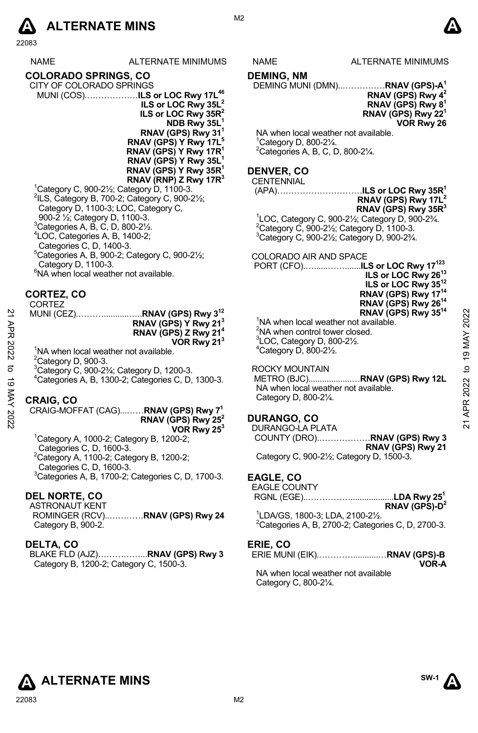

22083

|             | NAME                                                                                                                                                                                                                                                                                                                                                                                         | ALTERNATE MINIMUMS                                                                                                                                                                                                                                                                                                                        | NAME                                                                                           | ALTERNATE MINIMUMS                                                                                                                                                                                                                                                                                                                                                                                                                                                                                                                                            |
|-------------|----------------------------------------------------------------------------------------------------------------------------------------------------------------------------------------------------------------------------------------------------------------------------------------------------------------------------------------------------------------------------------------------|-------------------------------------------------------------------------------------------------------------------------------------------------------------------------------------------------------------------------------------------------------------------------------------------------------------------------------------------|------------------------------------------------------------------------------------------------|---------------------------------------------------------------------------------------------------------------------------------------------------------------------------------------------------------------------------------------------------------------------------------------------------------------------------------------------------------------------------------------------------------------------------------------------------------------------------------------------------------------------------------------------------------------|
|             | <b>COLORADO SPRINGS, CO</b><br>CITY OF COLORADO SPRINGS<br><sup>1</sup> Category C, 900-2 $\frac{1}{2}$ ; Category D, 1100-3.<br>$2$ ILS, Category B, 700-2; Category C, 900-2 $\frac{1}{2}$ ;<br>Category D, 1100-3; LOC, Category C,<br>900-2 1/ <sub>2</sub> ; Category D, 1100-3.<br>${}^{3}$ Categories A, B, C, D, 800-2 $\frac{1}{2}$ .<br><sup>4</sup> LOC, Categories A, B, 1400-2; | MUNI (COS)ILS or LOC Rwy 17L <sup>46</sup><br>ILS or LOC Rwy 35L <sup>2</sup><br>ILS or LOC Rwy 35R <sup>2</sup><br>NDB Rwy 35L <sup>1</sup><br>RNAV (GPS) Rwy 31'<br>RNAV (GPS) Y Rwy 17L <sup>5</sup><br>RNAV (GPS) Y Rwy 17R <sup>1</sup><br>RNAV (GPS) Y Rwy 35L <sup>1</sup><br>RNAV (GPS) Y Rwy $35R1$<br>RNAV (RNP) Z Rwy 17 $R^3$ | <b>DEMING, NM</b><br>$^1$ Category D, 800-2 $\frac{1}{4}$ .<br><b>DENVER, CO</b><br>CENTENNIAL | DEMING MUNI (DMN)RNAV (GPS)-A <sup>1</sup><br>RNAV (GPS) Rwy $4^2$<br>RNAV (GPS) Rwy 8 <sup>1</sup><br>RNAV (GPS) Rwy 22 <sup>1</sup><br>VOR Rwy 26<br>NA when local weather not available.<br><sup>2</sup> Categories A, B, C, D, 800-21⁄4.<br>RNAV (GPS) Rwy 17L <sup>2</sup><br>RNAV (GPS) Rwy 35R <sup>3</sup><br><sup>1</sup> LOC, Category C, 900-21/ <sub>2</sub> ; Category D, 900-23/4.<br><sup>2</sup> Category C, 900-2 <sup>1</sup> / <sub>2</sub> ; Category D, 1100-3.<br><sup>3</sup> Category C, 900-21/ <sub>2</sub> ; Category D, 900-23/4. |
|             | Categories C, D, 1400-3.<br>$5$ Categories A, B, 900-2; Category C, 900-2 $\frac{1}{2}$ ;<br>Category D, 1100-3.<br><sup>6</sup> NA when local weather not available.                                                                                                                                                                                                                        |                                                                                                                                                                                                                                                                                                                                           |                                                                                                | COLORADO AIR AND SPACE<br>ILS or LOC Rwy 26 <sup>13</sup><br>ILS or LOC Rwy 35 <sup>12</sup>                                                                                                                                                                                                                                                                                                                                                                                                                                                                  |
| 21 APR 2022 | CORTEZ, CO<br><b>CORTEZ</b><br><sup>1</sup> NA when local weather not available.                                                                                                                                                                                                                                                                                                             | MUNI (CEZ)RNAV (GPS) Rwy 3 <sup>12</sup><br>RNAV (GPS) Y Rwy 213<br>RNAV (GPS) Z Rwy 21 <sup>4</sup><br>VOR Rwy 21 <sup>3</sup>                                                                                                                                                                                                           | ${}^{3}$ LOC, Category D, 800-2 $\frac{1}{2}$ .<br>$4$ Category D, 800-2 $\frac{1}{2}$ .       | RNAV (GPS) Rwy 17 <sup>14</sup><br>RNAV (GPS) Rwy 26 <sup>14</sup><br>RNAV (GPS) Rwy 35 <sup>14</sup><br>to 19 MAY 2022<br><sup>1</sup> NA when local weather not available.<br><sup>2</sup> NA when control tower closed.                                                                                                                                                                                                                                                                                                                                    |
| ಕ           | ${}^{2}$ Category D, 900-3.<br><sup>3</sup> Category C, 900-23/4; Category D, 1200-3.                                                                                                                                                                                                                                                                                                        | <sup>4</sup> Categories A, B, 1300-2; Categories C, D, 1300-3.                                                                                                                                                                                                                                                                            | ROCKY MOUNTAIN                                                                                 | METRO (BJC)RNAV (GPS) Rwy 12L<br>NA when local weather not available.                                                                                                                                                                                                                                                                                                                                                                                                                                                                                         |
| 19 MAY 2022 | <b>CRAIG, CO</b><br><sup>1</sup> Category A, 1000-2; Category B, 1200-2;<br>Categories C, D, 1600-3.<br><sup>2</sup> Category A, 1100-2; Category B, 1200-2;                                                                                                                                                                                                                                 | CRAIG-MOFFAT (CAG) RNAV (GPS) Rwy 7 <sup>1</sup><br>RNAV (GPS) Rwy $25^2$<br>VOR Rwy 25 <sup>3</sup>                                                                                                                                                                                                                                      | Category D, 800-21/4.<br><b>DURANGO, CO</b><br>DURANGO-LA PLATA                                | APR 2022<br>$\overline{2}$<br>COUNTY (DRO)RNAV (GPS) Rwy 3<br>RNAV (GPS) Rwy 21<br>Category C, 900-21/ <sub>2</sub> ; Category D, 1500-3.                                                                                                                                                                                                                                                                                                                                                                                                                     |
|             | Categories C, D, 1600-3.<br><b>DEL NORTE, CO</b><br><b>ASTRONAUT KENT</b><br>Category B, 900-2.                                                                                                                                                                                                                                                                                              | <sup>3</sup> Categories A, B, 1700-2; Categories C, D, 1700-3.<br>ROMINGER (RCV)RNAV (GPS) Rwy 24                                                                                                                                                                                                                                         | EAGLE, CO<br><b>EAGLE COUNTY</b>                                                               | RNAV (GPS)- $D^2$<br><sup>1</sup> LDA/GS, 1800-3; LDA, 2100-21/ <sub>2</sub> .<br>$2$ Categories A, B, 2700-2; Categories C, D, 2700-3.                                                                                                                                                                                                                                                                                                                                                                                                                       |
|             | DELTA, CO<br>Category B, 1200-2; Category C, 1500-3.                                                                                                                                                                                                                                                                                                                                         | BLAKE FLD (AJZ)RNAV (GPS) Rwy 3                                                                                                                                                                                                                                                                                                           | ERIE, CO<br>Category C, 800-21/4.                                                              | VOR-A<br>NA when local weather not available                                                                                                                                                                                                                                                                                                                                                                                                                                                                                                                  |

M<sub>2</sub>

## **DEMING, NM**

#### **RNAV (GPS) Rwy 42 RNAV (GPS) Rwy 81 RNAV (GPS) Rwy 221 VOR Rwy 26**

# **DENVER, CO**

# **CENTENNIAL**

#### (APA)…………………………**ILS or LOC Rwy 35R1**

#### COLORADO AIR AND SPACE

### ROCKY MOUNTAIN

# **DURANGO, CO**

# **EAGLE, CO**

| <b>EAGLE COUNTY</b> |  |
|---------------------|--|
|                     |  |
|                     |  |

### **ERIE, CO**





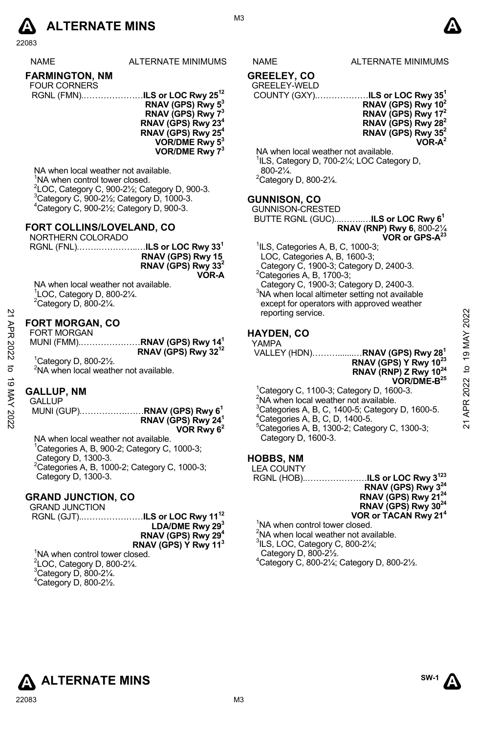

22083

| NAMF |
|------|
|      |

ALTERNATE MINIMUMS NAME ALTERNATE MINIMUMS

# **FARMINGTON, NM**

- FOUR CORNERS RGNL (FMN).…………………**ILS or LOC Rwy 2512** 
	- **RNAV (GPS) Rwy 53 RNAV (GPS) Rwy 73 RNAV (GPS) Rwy 234 RNAV (GPS) Rwy 25 VOR/DME Rwy 53 VOR/DME Rwy 73**

NA when local weather not available. <sup>1</sup>NA when control tower closed.  $^{2}$ LOC, Category C, 900-21/<sub>2</sub>; Category D, 900-3.  $3$ Category C, 900-2 $\frac{1}{2}$ ; Category D, 1000-3. 4 Category C, 900-2½; Category D, 900-3.

### **FORT COLLINS/LOVELAND, CO**

NORTHERN COLORADO

| RNAV (GPS) Rwy 15              |
|--------------------------------|
| RNAV (GPS) Rwy 33 <sup>2</sup> |
| VOR-A                          |

NA when local weather not available. 1 LOC, Category D, 800-2¼.  $2$ Category D, 800-2 $\frac{1}{4}$ .

#### **FORT MORGAN, CO**  FORT MORGAN

| FURT MURGAN                              |                                 |
|------------------------------------------|---------------------------------|
| MUNI (FMM)RNAV (GPS) Rwy 14 <sup>1</sup> |                                 |
|                                          | RNAV (GPS) Rwy 32 <sup>12</sup> |
| $1$ Catagon: D. 800.91/                  |                                 |

# **GALLUP, NM**

 MUNI (GUP).…………….……**RNAV (GPS) Rwy 61 RNAV (GPS) Rwy 241 VOR Rwy 62** 

NA when local weather not available.  ${}^{1}$ Categories A, B, 900-2; Category C, 1000-3; Category D, 1300-3. 2 Categories A, B, 1000-2; Category C, 1000-3; Category D, 1300-3.

# **GRAND JUNCTION, CO**

GRAND JUNCTION RGNL (GJT)..…………………**ILS or LOC Rwy 1112** LDA/DME Rwy 29<sup>3</sup> **RNAV (GPS) Rwy 294 RNAV (GPS) Y Rwy 113**

<sup>1</sup>NA when control tower closed.  $2^2$ LOC, Category D, 800-2 $\frac{1}{4}$ .  $3$ Category D, 800-2 $\frac{1}{4}$ . 4 Category D, 800-2½.

#### **GREELEY, CO**  GREELEY-WELD

# COUNTY (GXY).………………**ILS or LOC Rwy 351**

**RNAV (GPS) Rwy 102 RNAV (GPS) Rwy 172 RNAV (GPS) Rwy 282 RNAV (GPS) Rwy 352 VOR-A2** 

NA when local weather not available. <sup>1</sup>ILS, Category D, 700-21/<sub>4</sub>; LOC Category D, 800-2¼.

2 Category D, 800-2¼.

# **GUNNISON, CO**

GUNNISON-CRESTED BUTTE RGNL (GUC)...……..…**ILS or LOC Rwy 61 RNAV (RNP) Rwy 6**, 800-2¼

**VOR or GPS-A23**

- 1 ILS, Categories A, B, C, 1000-3;
- LOC, Categories A, B, 1600-3;

 Category C, 1900-3; Category D, 2400-3.  ${}^{2}$ Categories A, B, 1700-3;

Category C, 1900-3; Category D, 2400-3.

3 NA when local altimeter setting not available except for operators with approved weather reporting service.

# **HAYDEN, CO**

|      |                                                   |                                 | reporting service.                                           |               |                |
|------|---------------------------------------------------|---------------------------------|--------------------------------------------------------------|---------------|----------------|
|      | <b>FORT MORGAN, CO</b>                            |                                 |                                                              |               | 2022           |
| APR  | <b>FORT MORGAN</b>                                |                                 | <b>HAYDEN, CO</b>                                            |               |                |
|      | MUNI (FMM)RNAV (GPS) Rwy 14 <sup>1</sup>          |                                 | YAMPA                                                        |               |                |
| 2022 |                                                   | RNAV (GPS) Rwy 32 <sup>12</sup> |                                                              |               | $\overline{9}$ |
|      | $^1$ Category D, 800-2 $\frac{1}{2}$ .            |                                 |                                                              |               |                |
| ಕ    | <sup>2</sup> NA when local weather not available. |                                 | RNAV (RNP) Z Rwy 10 <sup>24</sup>                            |               | $\mathbf{Q}$   |
| ಹ    |                                                   |                                 |                                                              | $VOR/DME-B25$ | 2022           |
|      | <b>GALLUP, NM</b>                                 |                                 | <sup>1</sup> Category C, 1100-3; Category D, 1600-3.         |               |                |
| X    | GALLUP                                            |                                 | <sup>2</sup> NA when local weather not available.            |               | ≃              |
|      | MUNI (GUP)RNAV (GPS) Rwy 6 <sup>1</sup>           |                                 | <sup>3</sup> Categories A, B, C, 1400-5; Category D, 1600-5. |               |                |
| 2022 |                                                   | RNAV (GPS) Rwy 24 <sup>1</sup>  | <sup>4</sup> Categories A, B, C, D, 1400-5.                  |               |                |
|      |                                                   | 1000000                         | $5$ Catogorias A R 1300 2: Catogory C 1300 3:                |               | ಸ              |

Categories A, B, 1300-2; Category C, 1300-3; Category D, 1600-3.

# **HOBBS, NM**

| "ייי" ישכ<br><b>LEA COUNTY</b>                    |                                                                             |
|---------------------------------------------------|-----------------------------------------------------------------------------|
|                                                   |                                                                             |
|                                                   | RGNL (HOB)ILS or LOC Rwy 3 <sup>123</sup><br>RNAV (GPS) Rwy 3 <sup>24</sup> |
|                                                   | RNAV (GPS) Rwy 21 <sup>24</sup>                                             |
|                                                   | RNAV (GPS) Rwy 30 <sup>24</sup>                                             |
|                                                   | VOR or TACAN Rwy 21 <sup>4</sup>                                            |
| <sup>1</sup> NA when control tower closed.        |                                                                             |
| <sup>2</sup> NA when local weather not available. |                                                                             |
| $3$ ILS, LOC, Category C, 800-2 $\frac{1}{4}$ ;   |                                                                             |
| Category D, 800-21/2.                             |                                                                             |

4 Category C, 800-2¼; Category D, 800-2½.

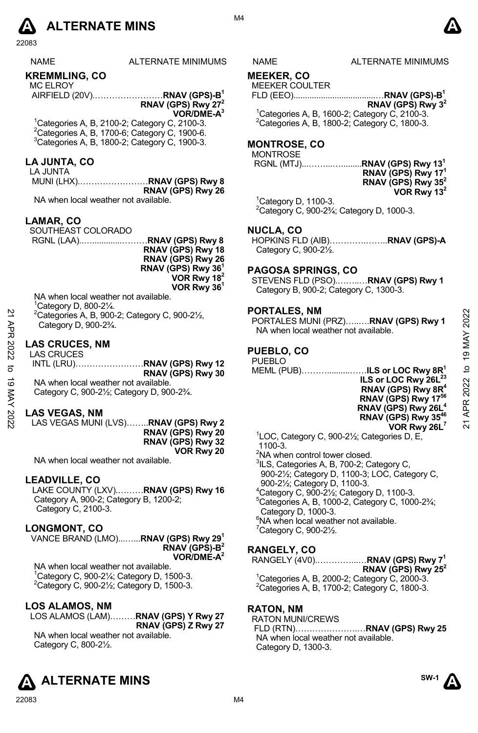# **A** ALTERNATE MINS  $\bullet$

22083

# **KREMMLING, CO**

MC ELROY AIRFIELD (20V).……………………**RNAV (GPS)-B1** 

**RNAV (GPS) Rwy 272 VOR/DME-A3**  1 Categories A, B, 2100-2; Category C, 2100-3.

 $2$ Categories A, B, 1700-6; Category C, 1900-6. 3 Categories A, B, 1800-2; Category C, 1900-3.

# **LA JUNTA, CO**

LA JUNTA MUNI (LHX).……………………**RNAV (GPS) Rwy 8 RNAV (GPS) Rwy 26** 

NA when local weather not available.

# **LAMAR, CO**

SOUTHEAST COLORADO

 RGNL (LAA)..….............………**RNAV (GPS) Rwy 8 RNAV (GPS) Rwy 18 RNAV (GPS) Rwy 26 RNAV (GPS) Rwy 361**

**VOR Rwy 182 VOR Rwy 361**

NA when local weather not available. 1 Category D, 800-2¼. 2 Categories A, B, 900-2; Category C, 900-2½, Category D, 900-2¾.

# **LAS CRUCES, NM**

### **LAS VEGAS, NM**

LAS VEGAS MUNI (LVS)……..**RNAV (GPS) Rwy 2 RNAV (GPS) Rwy 20 RNAV (GPS) Rwy 32 VOR Rwy 20** 

NA when local weather not available.

# **LEADVILLE, CO**

LAKE COUNTY (LXV).………**RNAV (GPS) Rwy 16** Category A, 900-2; Category B, 1200-2; Category C, 2100-3.

# **LONGMONT, CO**

VANCE BRAND (LMO)...…...**RNAV (GPS) Rwy 291 RNAV (GPS)-B2 VOR/DME-A2** 

NA when local weather not available. <sup>1</sup>Category C, 900-2¼; Category D, 1500-3.<br><sup>2</sup>Category C, 900-2½; Category D, 1500-3.

# **LOS ALAMOS, NM**

LOS ALAMOS (LAM)………**RNAV (GPS) Y Rwy 27 RNAV (GPS) Z Rwy 27**  NA when local weather not available. Category C, 800-2½.

22083 M4



S NAME ALTERNATE MINIMUMS

# **MEEKER, CO**

MEEKER COULTER

FLD (EEO)....................................…**RNAV (GPS)-B1 RNAV (GPS) Rwy 32** 

 $1$ Categories A, B, 1600-2; Category C, 2100-3. 2 Categories A, B, 1800-2; Category C, 1800-3.

# **MONTROSE, CO**

**MONTROSE** 

**RGNL (MTJ)......................** 

|  | $RNAV$ (GPS) $Rwv$ 13 <sup>1</sup> |
|--|------------------------------------|
|  | RNAV (GPS) Rwy 17 <sup>1</sup>     |
|  | RNAV (GPS) Rwy $352$               |
|  | VOR Rwy 13 <sup>2</sup>            |

 $1$ Category D, 1100-3.  $2$ Category C, 900-2 $\frac{2}{4}$ ; Category D, 1000-3.

# **NUCLA, CO**

HOPKINS FLD (AIB)………….……..**RNAV (GPS)-A**  Category C,  $900-2\frac{1}{2}$ .

# **PAGOSA SPRINGS, CO**

STEVENS FLD (PSO).……..…**RNAV (GPS) Rwy 1** Category B, 900-2; Category C, 1300-3.

## **PORTALES, NM**

# **PUEBLO, CO**

| 2                   | <sup>2</sup> Categories A, B, 900-2; Category C, 900-21/ <sub>2</sub> ,<br>Category D, 900-2 <sup>3</sup> / <sub>4</sub> .                                          | <b>PURIALES, NM</b><br>PORTALES MUNI (PRZ)RNAV (GPS) Rwy 1<br>NA when local weather not available.                                                                               | 2022                              |
|---------------------|---------------------------------------------------------------------------------------------------------------------------------------------------------------------|----------------------------------------------------------------------------------------------------------------------------------------------------------------------------------|-----------------------------------|
| 2022<br>ನ<br>ಹ<br>⋚ | <b>LAS CRUCES, NM</b><br><b>LAS CRUCES</b><br>RNAV (GPS) Rwy 30<br>NA when local weather not available.<br>Category C, 900-21/ <sub>2</sub> ; Category D, 900-23/4. | PUEBLO, CO<br><b>PUEBLO</b><br>MEML (PUB)ILS or LOC Rwy 8R <sup>1</sup><br>ILS or LOC Rwy 26L <sup>23</sup><br>RNAV (GPS) Rwy 8R <sup>4</sup><br>RNAV (GPS) Rwy 17 <sup>56</sup> | MAY<br>σ,<br>$\mathsf{D}$<br>2022 |
| 2022                | <b>LAS VEGAS, NM</b><br>LAS VEGAS MUNI (LVS)RNAV (GPS) Rwy 2<br>RNAV (GPS) Rwy 20                                                                                   | RNAV (GPS) Rwy 26L <sup>4</sup><br>RNAV (GPS) Rwy 35 <sup>46</sup><br>VOR Rwy 26L <sup>7</sup><br>$\frac{1}{1}$ OC Category C 000.91/: Categories D E                            | APR<br>ম                          |

1 LOC, Category C, 900-2½; Categories D, E, 1100-3.

- <sup>2</sup>NA when control tower closed.
- <sup>3</sup>ILS, Categories A, B, 700-2; Category C, 900-2½; Category D, 1100-3; LOC, Category C,
- 900-2½; Category D, 1100-3.
- $^{4}$ Category C, 900-2½; Category D, 1100-3.
- $5$ Categories A, B, 1000-2, Category C, 1000-2 $\frac{3}{4}$ ; Category D, 1000-3.
- 6 NA when local weather not available.
- $7$ Category C, 900-2 $\frac{1}{2}$ .

# **RANGELY, CO**

RANGELY (4V0).…………...…**RNAV (GPS) Rwy 71 RNAV (GPS) Rwy 252**  1 Categories A, B, 2000-2; Category C, 2000-3.  $2$ Categories A, B, 1700-2; Category C, 1800-3.

# **RATON, NM**

RATON MUNI/CREWS FLD (RTN)………………….…**RNAV (GPS) Rwy 25** NA when local weather not available. Category D, 1300-3.

**SW-1**